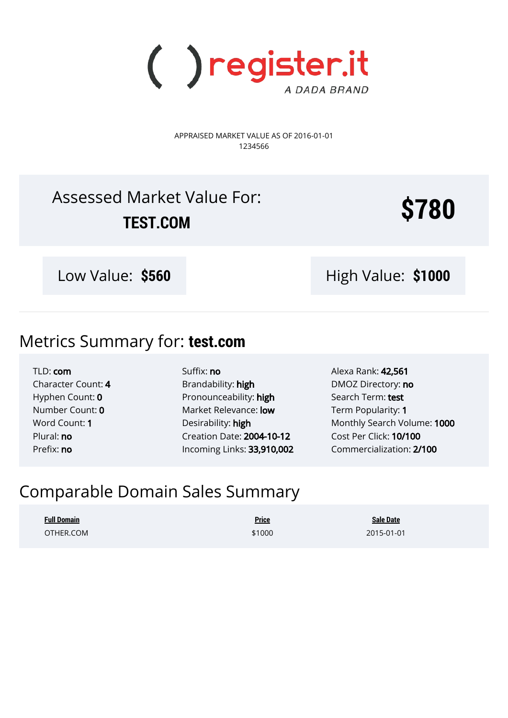

APPRAISED MARKET VALUE AS OF 2016-01-01 1234566

# Assessed Market Value For: TEST.COM

Low Value: \$560 **High Value: \$1000** 

# Metrics Summary for: **test.com**

TLD: com Character Count: 4 Hyphen Count: 0 Number Count: 0 Word Count: 1 Plural: no Prefix: no

Suffix: no Brandability: high Pronounceability: high Market Relevance: low Desirability: high Creation Date: 2004-10-12 Incoming Links: 33,910,002 Alexa Rank: 42,561 DMOZ Directory: no Search Term: test Term Popularity: 1 Monthly Search Volume: 1000 Cost Per Click: 10/100 Commercialization: 2/100

# Comparable Domain Sales Summary

**Full Domain Price Sale Date** OTHER.COM **\$1000** 2015-01-01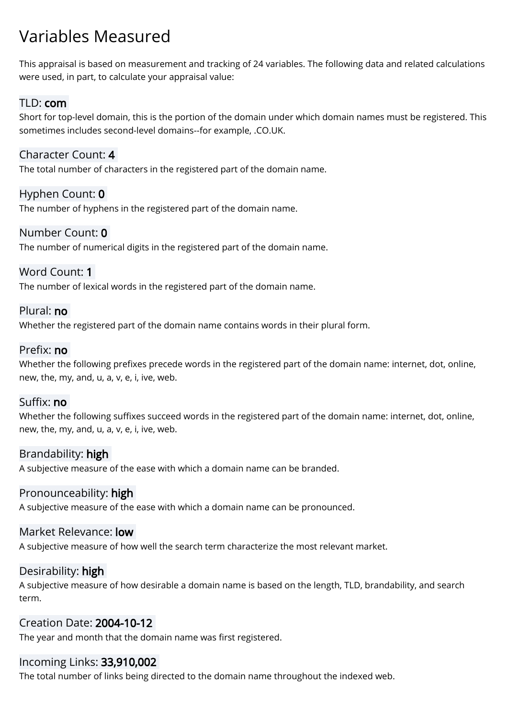# Variables Measured

This appraisal is based on measurement and tracking of 24 variables. The following data and related calculations were used, in part, to calculate your appraisal value:

### TLD: com

Short for top-level domain, this is the portion of the domain under which domain names must be registered. This sometimes includes second-level domains--for example, .CO.UK.

### Character Count: 4

The total number of characters in the registered part of the domain name.

### Hyphen Count: 0

The number of hyphens in the registered part of the domain name.

### Number Count: 0

The number of numerical digits in the registered part of the domain name.

#### Word Count: 1

The number of lexical words in the registered part of the domain name.

#### Plural: no

Whether the registered part of the domain name contains words in their plural form.

### Prefix: no

Whether the following prefixes precede words in the registered part of the domain name: internet, dot, online, new, the, my, and, u, a, v, e, i, ive, web.

#### Suffix: no

Whether the following suffixes succeed words in the registered part of the domain name: internet, dot, online, new, the, my, and, u, a, v, e, i, ive, web.

### Brandability: high

A subjective measure of the ease with which a domain name can be branded.

### Pronounceability: high

A subjective measure of the ease with which a domain name can be pronounced.

#### Market Relevance: low

A subjective measure of how well the search term characterize the most relevant market.

#### Desirability: high

A subjective measure of how desirable a domain name is based on the length, TLD, brandability, and search term.

### Creation Date: 2004-10-12

The year and month that the domain name was first registered.

### Incoming Links: 33,910,002

The total number of links being directed to the domain name throughout the indexed web.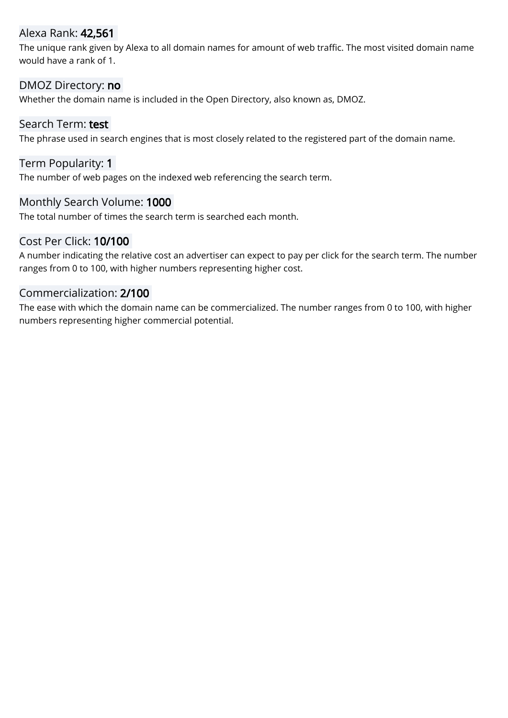### Alexa Rank: 42,561

The unique rank given by Alexa to all domain names for amount of web traffic. The most visited domain name would have a rank of 1.

#### DMOZ Directory: no

Whether the domain name is included in the Open Directory, also known as, DMOZ.

#### Search Term: test

The phrase used in search engines that is most closely related to the registered part of the domain name.

#### Term Popularity: 1

The number of web pages on the indexed web referencing the search term.

#### Monthly Search Volume: 1000

The total number of times the search term is searched each month.

#### Cost Per Click: 10/100

A number indicating the relative cost an advertiser can expect to pay per click for the search term. The number ranges from 0 to 100, with higher numbers representing higher cost.

### Commercialization: 2/100

The ease with which the domain name can be commercialized. The number ranges from 0 to 100, with higher numbers representing higher commercial potential.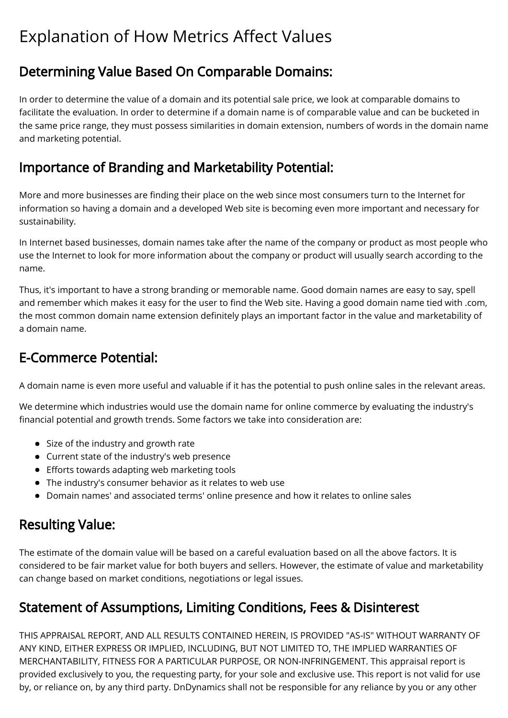# Explanation of How Metrics Affect Values

## Determining Value Based On Comparable Domains:

In order to determine the value of a domain and its potential sale price, we look at comparable domains to facilitate the evaluation. In order to determine if a domain name is of comparable value and can be bucketed in the same price range, they must possess similarities in domain extension, numbers of words in the domain name and marketing potential.

### Importance of Branding and Marketability Potential:

More and more businesses are finding their place on the web since most consumers turn to the Internet for information so having a domain and a developed Web site is becoming even more important and necessary for sustainability.

In Internet based businesses, domain names take after the name of the company or product as most people who use the Internet to look for more information about the company or product will usually search according to the name.

Thus, it's important to have a strong branding or memorable name. Good domain names are easy to say, spell and remember which makes it easy for the user to find the Web site. Having a good domain name tied with .com, the most common domain name extension definitely plays an important factor in the value and marketability of a domain name.

### E-Commerce Potential:

A domain name is even more useful and valuable if it has the potential to push online sales in the relevant areas.

We determine which industries would use the domain name for online commerce by evaluating the industry's financial potential and growth trends. Some factors we take into consideration are:

- Size of the industry and growth rate
- Current state of the industry's web presence
- Efforts towards adapting web marketing tools
- The industry's consumer behavior as it relates to web use
- Domain names' and associated terms' online presence and how it relates to online sales

### Resulting Value:

The estimate of the domain value will be based on a careful evaluation based on all the above factors. It is considered to be fair market value for both buyers and sellers. However, the estimate of value and marketability can change based on market conditions, negotiations or legal issues.

# Statement of Assumptions, Limiting Conditions, Fees & Disinterest

THIS APPRAISAL REPORT, AND ALL RESULTS CONTAINED HEREIN, IS PROVIDED "AS-IS" WITHOUT WARRANTY OF ANY KIND, EITHER EXPRESS OR IMPLIED, INCLUDING, BUT NOT LIMITED TO, THE IMPLIED WARRANTIES OF MERCHANTABILITY, FITNESS FOR A PARTICULAR PURPOSE, OR NON-INFRINGEMENT. This appraisal report is provided exclusively to you, the requesting party, for your sole and exclusive use. This report is not valid for use by, or reliance on, by any third party. DnDynamics shall not be responsible for any reliance by you or any other